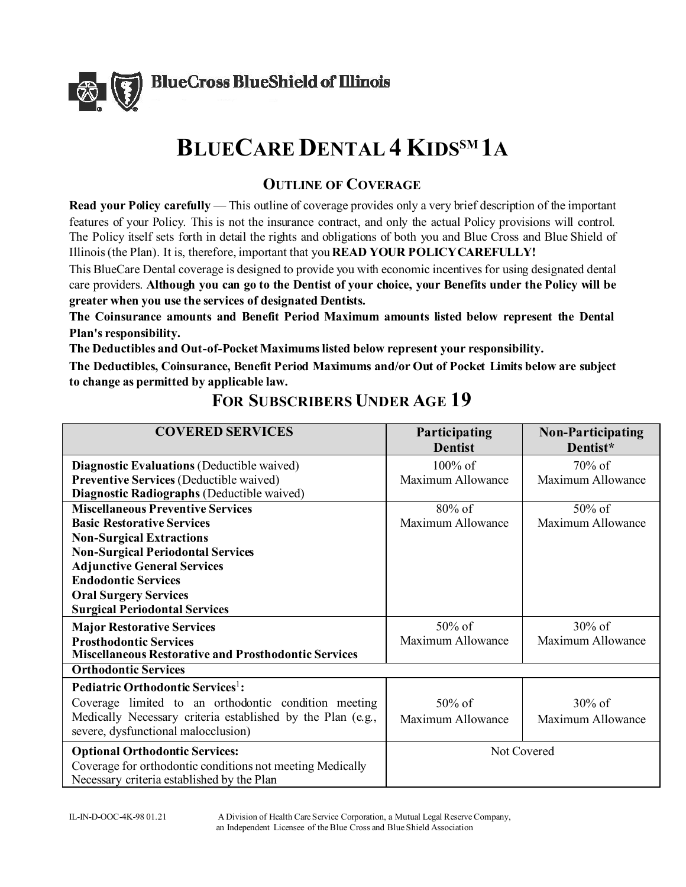

# **BLUECARE DENTAL 4 KIDSSM 1A**

# **OUTLINE OF COVERAGE**

**Read your Policy carefully** — This outline of coverage provides only a very brief description of the important features of your Policy. This is not the insurance contract, and only the actual Policy provisions will control. The Policy itself sets forth in detail the rights and obligations of both you and Blue Cross and Blue Shield of Illinois (the Plan). It is, therefore, important that you **READ YOUR POLICY CAREFULLY!** 

This BlueCare Dental coverage is designed to provide you with economic incentives for using designated dental care providers. **Although you can go to the Dentist of your choice, your Benefits under the Policy will be greater when you use the services of designated Dentists.** 

**The Coinsurance amounts and Benefit Period Maximum amounts listed below represent the Dental Plan's responsibility.** 

**The Deductibles and Out-of-Pocket Maximums listed below represent your responsibility.** 

**The Deductibles, Coinsurance, Benefit Period Maximums and/or Out of Pocket Limits below are subject to change as permitted by applicable law.** 

| <b>COVERED SERVICES</b>                                                                                 | Participating<br><b>Dentist</b> | <b>Non-Participating</b><br>Dentist* |
|---------------------------------------------------------------------------------------------------------|---------------------------------|--------------------------------------|
| <b>Diagnostic Evaluations (Deductible waived)</b>                                                       | $100\%$ of                      | $70\%$ of                            |
| <b>Preventive Services (Deductible waived)</b>                                                          | Maximum Allowance               | Maximum Allowance                    |
| Diagnostic Radiographs (Deductible waived)                                                              |                                 |                                      |
| <b>Miscellaneous Preventive Services</b>                                                                | 80% of                          | $50\%$ of                            |
| <b>Basic Restorative Services</b>                                                                       | Maximum Allowance               | Maximum Allowance                    |
| <b>Non-Surgical Extractions</b>                                                                         |                                 |                                      |
| <b>Non-Surgical Periodontal Services</b>                                                                |                                 |                                      |
| <b>Adjunctive General Services</b>                                                                      |                                 |                                      |
| <b>Endodontic Services</b>                                                                              |                                 |                                      |
| <b>Oral Surgery Services</b>                                                                            |                                 |                                      |
| <b>Surgical Periodontal Services</b>                                                                    |                                 |                                      |
| <b>Major Restorative Services</b>                                                                       | 50% of                          | $30\%$ of                            |
| <b>Prosthodontic Services</b>                                                                           | Maximum Allowance               | Maximum Allowance                    |
| <b>Miscellaneous Restorative and Prosthodontic Services</b>                                             |                                 |                                      |
| <b>Orthodontic Services</b>                                                                             |                                 |                                      |
| Pediatric Orthodontic Services <sup>1</sup> :                                                           |                                 |                                      |
| Coverage limited to an orthodontic condition meeting                                                    | $50\%$ of                       | $30\%$ of                            |
| Medically Necessary criteria established by the Plan (e.g.,                                             | Maximum Allowance               | Maximum Allowance                    |
| severe, dysfunctional malocclusion)                                                                     |                                 |                                      |
| <b>Optional Orthodontic Services:</b>                                                                   | Not Covered                     |                                      |
| Coverage for orthodontic conditions not meeting Medically<br>Necessary criteria established by the Plan |                                 |                                      |

# **FOR SUBSCRIBERS UNDER AGE 19**

IL-IN-D-OOC-4K-98 01.21 A Division of Health Care Service Corporation, a Mutual Legal Reserve Company, an Independent Licensee of the Blue Cross and Blue Shield Association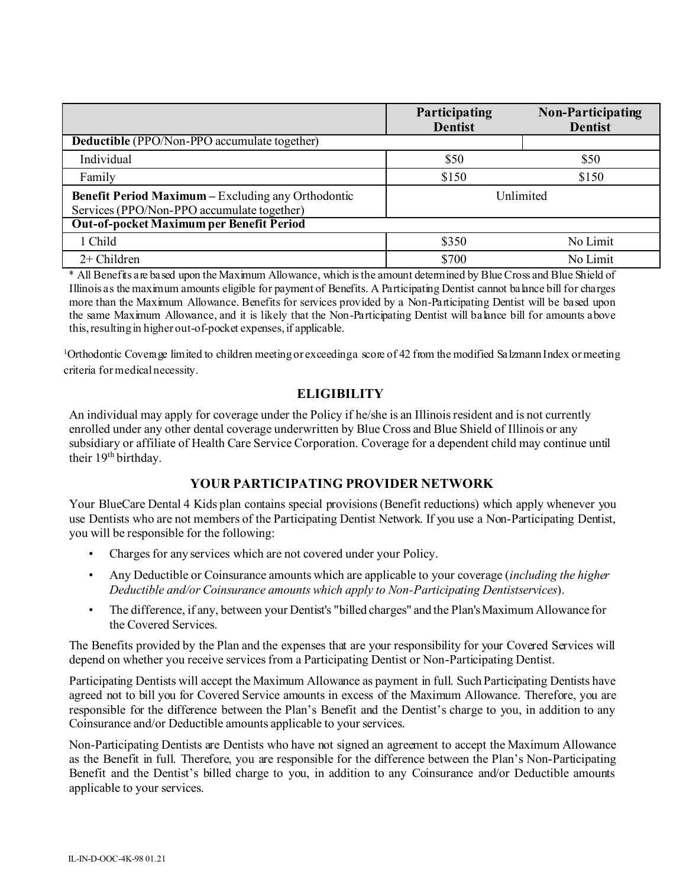|                                                                                                         | Participating<br><b>Dentist</b> | Non-Participating<br><b>Dentist</b> |
|---------------------------------------------------------------------------------------------------------|---------------------------------|-------------------------------------|
| <b>Deductible</b> (PPO/Non-PPO accumulate together)                                                     |                                 |                                     |
| Individual                                                                                              | \$50                            | \$50                                |
| Family                                                                                                  | \$150                           | \$150                               |
| <b>Benefit Period Maximum – Excluding any Orthodontic</b><br>Services (PPO/Non-PPO accumulate together) | Unlimited                       |                                     |
| Out-of-pocket Maximum per Benefit Period                                                                |                                 |                                     |
| 1 Child                                                                                                 | \$350                           | No Limit                            |
| $2+$ Children                                                                                           | \$700                           | No Limit                            |

\* All Benefits are based upon the Maximum Allowance, which is the amount determined by Blue Cross and Blue Shield of Illinois as the maximum amounts eligible for payment of Benefits. A Participating Dentist cannot balance bill for charges more than the Maximum Allowance. Benefits for services provided by a Non-Participating Dentist will be based upon the same Maximum Allowance, and it is likely that the Non-Participating Dentist will balance bill for amounts above this, resulting in higher out-of-pocket expenses, if applicable.

1 Orthodontic Coverage limited to children meeting or exceeding a score of 42 from the modified Salzmann Index or meeting criteria for medical necessity.

## **ELIGIBILITY**

An individual may apply for coverage under the Policy if he/she is an Illinois resident and is not currently enrolled under any other dental coverage underwritten by Blue Cross and Blue Shield of Illinois or any subsidiary or affiliate of Health Care Service Corporation. Coverage for a dependent child may continue until their 19<sup>th</sup> birthday.

## **YOUR PARTICIPATING PROVIDER NETWORK**

Your BlueCare Dental 4 Kids plan contains special provisions (Benefit reductions) which apply whenever you use Dentists who are not members of the Participating Dentist Network. If you use a Non-Participating Dentist, you will be responsible for the following:

- Charges for any services which are not covered under your Policy.
- Any Deductible or Coinsurance amounts which are applicable to your coverage (*including the higher Deductible and/or Coinsurance amounts which apply to Non-Participating Dentistservices*).
- The difference, if any, between your Dentist's "billed charges" and the Plan's Maximum Allowance for the Covered Services.

The Benefits provided by the Plan and the expenses that are your responsibility for your Covered Services will depend on whether you receive services from a Participating Dentist or Non-Participating Dentist.

Participating Dentists will accept the Maximum Allowance as payment in full. Such Participating Dentists have agreed not to bill you for Covered Service amounts in excess of the Maximum Allowance. Therefore, you are responsible for the difference between the Plan's Benefit and the Dentist's charge to you, in addition to any Coinsurance and/or Deductible amounts applicable to your services.

Non-Participating Dentists are Dentists who have not signed an agreement to accept the Maximum Allowance as the Benefit in full. Therefore, you are responsible for the difference between the Plan's Non-Participating Benefit and the Dentist's billed charge to you, in addition to any Coinsurance and/or Deductible amounts applicable to your services.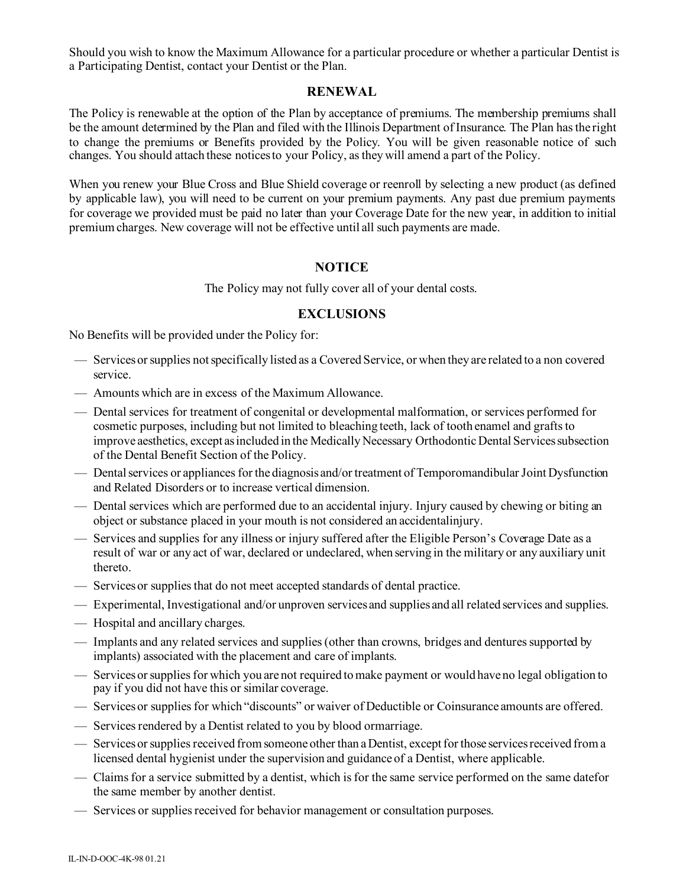Should you wish to know the Maximum Allowance for a particular procedure or whether a particular Dentist is a Participating Dentist, contact your Dentist or the Plan.

#### **RENEWAL**

The Policy is renewable at the option of the Plan by acceptance of premiums. The membership premiums shall be the amount determined by the Plan and filed with the Illinois Department of Insurance. The Plan has the right to change the premiums or Benefits provided by the Policy. You will be given reasonable notice of such changes. You should attach these notices to your Policy, as they will amend a part of the Policy.

When you renew your Blue Cross and Blue Shield coverage or reenroll by selecting a new product (as defined by applicable law), you will need to be current on your premium payments. Any past due premium payments for coverage we provided must be paid no later than your Coverage Date for the new year, in addition to initial premium charges. New coverage will not be effective until all such payments are made.

#### **NOTICE**

The Policy may not fully cover all of your dental costs.

### **EXCLUSIONS**

No Benefits will be provided under the Policy for:

- Services or supplies not specifically listed as a Covered Service, or when they are related to a non covered service.
- Amounts which are in excess of the Maximum Allowance.
- Dental services for treatment of congenital or developmental malformation, or services performed for cosmetic purposes, including but not limited to bleaching teeth, lack of tooth enamel and grafts to improve aesthetics, except as included in the Medically Necessary Orthodontic Dental Services subsection of the Dental Benefit Section of the Policy.
- Dental services or appliances for the diagnosis and/or treatment of Temporomandibular Joint Dysfunction and Related Disorders or to increase vertical dimension.
- Dental services which are performed due to an accidental injury. Injury caused by chewing or biting an object or substance placed in your mouth is not considered an accidentalinjury.
- Services and supplies for any illness or injury suffered after the Eligible Person's Coverage Date as a result of war or any act of war, declared or undeclared, when serving in the military or any auxiliary unit thereto.
- Services or supplies that do not meet accepted standards of dental practice.
- Experimental, Investigational and/or unproven services and supplies and all related services and supplies.
- Hospital and ancillary charges.
- Implants and any related services and supplies (other than crowns, bridges and dentures supported by implants) associated with the placement and care of implants.
- Services or supplies for which you are not required to make payment or would have no legal obligation to pay if you did not have this or similar coverage.
- Services or supplies for which "discounts" or waiver of Deductible or Coinsurance amounts are offered.
- Services rendered by a Dentist related to you by blood ormarriage.
- Services or supplies received from someone other than a Dentist, except for those services received from a licensed dental hygienist under the supervision and guidance of a Dentist, where applicable.
- Claims for a service submitted by a dentist, which is for the same service performed on the same datefor the same member by another dentist.
- Services or supplies received for behavior management or consultation purposes.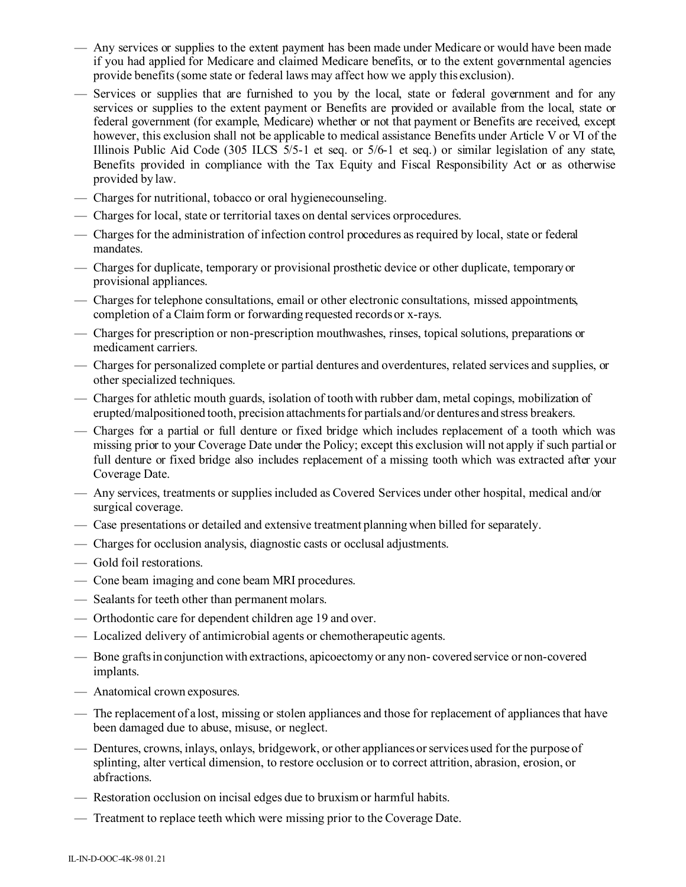- Any services or supplies to the extent payment has been made under Medicare or would have been made if you had applied for Medicare and claimed Medicare benefits, or to the extent governmental agencies provide benefits (some state or federal laws may affect how we apply this exclusion).
- Services or supplies that are furnished to you by the local, state or federal government and for any services or supplies to the extent payment or Benefits are provided or available from the local, state or federal government (for example, Medicare) whether or not that payment or Benefits are received, except however, this exclusion shall not be applicable to medical assistance Benefits under Article V or VI of the Illinois Public Aid Code (305 ILCS 5/5-1 et seq. or 5/6-1 et seq.) or similar legislation of any state, Benefits provided in compliance with the Tax Equity and Fiscal Responsibility Act or as otherwise provided by law.
- Charges for nutritional, tobacco or oral hygienecounseling.
- Charges for local, state or territorial taxes on dental services orprocedures.
- Charges for the administration of infection control procedures as required by local, state or federal mandates.
- Charges for duplicate, temporary or provisional prosthetic device or other duplicate, temporary or provisional appliances.
- Charges for telephone consultations, email or other electronic consultations, missed appointments, completion of a Claim form or forwarding requested records or x-rays.
- Charges for prescription or non-prescription mouthwashes, rinses, topical solutions, preparations or medicament carriers.
- Charges for personalized complete or partial dentures and overdentures, related services and supplies, or other specialized techniques.
- Charges for athletic mouth guards, isolation of tooth with rubber dam, metal copings, mobilization of erupted/malpositioned tooth, precision attachments for partials and/or dentures and stress breakers.
- Charges for a partial or full denture or fixed bridge which includes replacement of a tooth which was missing prior to your Coverage Date under the Policy; except this exclusion will not apply if such partial or full denture or fixed bridge also includes replacement of a missing tooth which was extracted after your Coverage Date.
- Any services, treatments or supplies included as Covered Services under other hospital, medical and/or surgical coverage.
- Case presentations or detailed and extensive treatment planning when billed for separately.
- Charges for occlusion analysis, diagnostic casts or occlusal adjustments.
- Gold foil restorations.
- Cone beam imaging and cone beam MRI procedures.
- Sealants for teeth other than permanent molars.
- Orthodontic care for dependent children age 19 and over.
- Localized delivery of antimicrobial agents or chemotherapeutic agents.
- Bone grafts in conjunction with extractions, apicoectomy or any non- covered service or non-covered implants.
- Anatomical crown exposures.
- The replacement of a lost, missing or stolen appliances and those for replacement of appliances that have been damaged due to abuse, misuse, or neglect.
- Dentures, crowns, inlays, onlays, bridgework, or other appliances or services used for the purpose of splinting, alter vertical dimension, to restore occlusion or to correct attrition, abrasion, erosion, or abfractions.
- Restoration occlusion on incisal edges due to bruxism or harmful habits.
- Treatment to replace teeth which were missing prior to the Coverage Date.